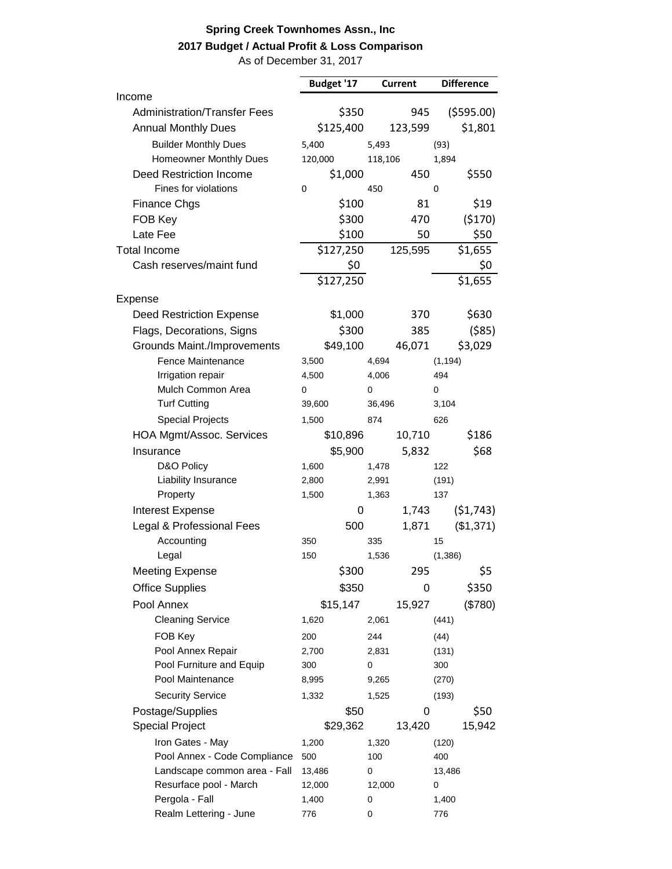## **Spring Creek Townhomes Assn., Inc 2017 Budget / Actual Profit & Loss Comparison**

As of December 31, 2017

|                                     | Budget '17<br><b>Current</b> |         |         | <b>Difference</b> |           |
|-------------------------------------|------------------------------|---------|---------|-------------------|-----------|
| Income                              |                              |         |         |                   |           |
| <b>Administration/Transfer Fees</b> |                              | \$350   | 945     |                   | (5595.00) |
| <b>Annual Monthly Dues</b>          | \$125,400                    |         | 123,599 |                   | \$1,801   |
| <b>Builder Monthly Dues</b>         | 5,400                        | 5,493   |         | (93)              |           |
| Homeowner Monthly Dues              | 120,000                      | 118,106 |         | 1,894             |           |
| <b>Deed Restriction Income</b>      | \$1,000                      |         | 450     |                   | \$550     |
| Fines for violations                | 0                            | 450     |         | 0                 |           |
| <b>Finance Chgs</b>                 |                              | \$100   | 81      |                   | \$19      |
| FOB Key                             |                              | \$300   | 470     |                   | (5170)    |
| Late Fee                            |                              | \$100   | 50      |                   | \$50      |
| <b>Total Income</b>                 | \$127,250                    |         | 125,595 |                   | \$1,655   |
| Cash reserves/maint fund            |                              | \$0     |         |                   | \$0       |
|                                     | \$127,250                    |         |         |                   | \$1,655   |
| Expense                             |                              |         |         |                   |           |
| <b>Deed Restriction Expense</b>     | \$1,000                      |         | 370     |                   | \$630     |
| Flags, Decorations, Signs           |                              | \$300   | 385     |                   | ( \$85)   |
| Grounds Maint./Improvements         | \$49,100                     |         | 46,071  |                   | \$3,029   |
| Fence Maintenance                   | 3,500                        | 4,694   |         | (1, 194)          |           |
| Irrigation repair                   | 4,500                        | 4,006   |         | 494               |           |
| Mulch Common Area                   | 0                            | 0       |         | 0                 |           |
| <b>Turf Cutting</b>                 | 39,600                       | 36,496  |         | 3,104             |           |
| <b>Special Projects</b>             | 1,500                        | 874     |         | 626               |           |
| HOA Mgmt/Assoc. Services            | \$10,896                     |         | 10,710  |                   | \$186     |
| Insurance                           | \$5,900                      |         | 5,832   |                   | \$68      |
| D&O Policy                          | 1,600                        | 1,478   |         | 122               |           |
| Liability Insurance                 | 2,800                        | 2,991   |         | (191)             |           |
| Property                            | 1,500                        | 1,363   |         | 137               |           |
| <b>Interest Expense</b>             |                              | 0       | 1,743   |                   | (51, 743) |
| Legal & Professional Fees           |                              | 500     | 1,871   |                   | (\$1,371) |
| Accounting                          | 350                          | 335     |         | 15                |           |
| Legal                               | 150                          | 1,536   |         | (1, 386)          |           |
| <b>Meeting Expense</b>              |                              | \$300   | 295     |                   | \$5       |
| <b>Office Supplies</b>              |                              | \$350   | 0       |                   | \$350     |
| Pool Annex                          | \$15,147                     |         | 15,927  |                   | (\$780)   |
| <b>Cleaning Service</b>             | 1,620                        | 2,061   |         | (441)             |           |
| FOB Key                             | 200                          | 244     |         | (44)              |           |
| Pool Annex Repair                   | 2,700                        | 2,831   |         | (131)             |           |
| Pool Furniture and Equip            | 300                          | 0       |         | 300               |           |
| Pool Maintenance                    | 8,995                        | 9,265   |         | (270)             |           |
| <b>Security Service</b>             | 1,332                        | 1,525   |         | (193)             |           |
| Postage/Supplies                    |                              | \$50    | 0       |                   | \$50      |
| <b>Special Project</b>              | \$29,362                     |         | 13,420  |                   | 15,942    |
| Iron Gates - May                    | 1,200                        | 1,320   |         | (120)             |           |
| Pool Annex - Code Compliance        | 500                          | 100     |         | 400               |           |
| Landscape common area - Fall        | 13,486                       | 0       |         | 13,486            |           |
| Resurface pool - March              | 12,000                       | 12,000  |         | 0                 |           |
| Pergola - Fall                      | 1,400                        | 0       |         | 1,400             |           |
| Realm Lettering - June              | 776                          | 0       |         | 776               |           |